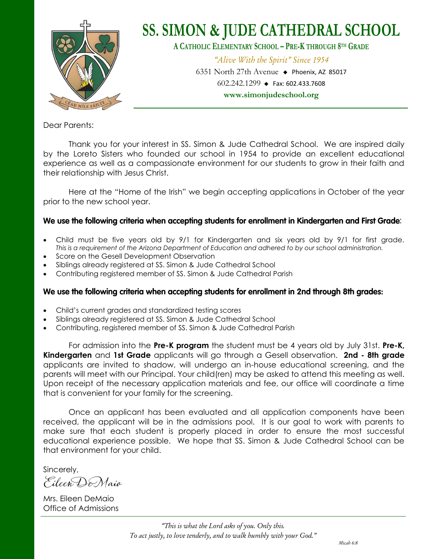

Dear Parents:

Thank you for your interest in SS. Simon & Jude Cathedral School. We are inspired daily by the Loreto Sisters who founded our school in 1954 to provide an excellent educational experience as well as a compassionate environment for our students to grow in their faith and their relationship with Jesus Christ.

Here at the "Home of the Irish" we begin accepting applications in October of the year prior to the new school year.

#### We use the following criteria when accepting students for enrollment in Kindergarten and First Grade:

- Child must be five years old by 9/1 for Kindergarten and six years old by 9/1 for first grade. *This is a requirement of the Arizona Department of Education and adhered to by our school administration.*
- Score on the Gesell Development Observation
- Siblings already registered at SS. Simon & Jude Cathedral School
- Contributing registered member of SS. Simon & Jude Cathedral Parish

#### We use the following criteria when accepting students for enrollment in 2nd through 8th grades:

- Child's current grades and standardized testing scores
- Siblings already registered at SS. Simon & Jude Cathedral School
- Contributing, registered member of SS. Simon & Jude Cathedral Parish

For admission into the **Pre-K program** the student must be 4 years old by July 31st. **Pre-K, Kindergarten** and **1st Grade** applicants will go through a Gesell observation. **2nd - 8th grade**  applicants are invited to shadow, will undergo an in-house educational screening, and the parents will meet with our Principal. Your child(ren) may be asked to attend this meeting as well. Upon receipt of the necessary application materials and fee, our office will coordinate a time that is convenient for your family for the screening.

Once an applicant has been evaluated and all application components have been received, the applicant will be in the admissions pool. It is our goal to work with parents to make sure that each student is properly placed in order to ensure the most successful educational experience possible. We hope that SS. Simon & Jude Cathedral School can be that environment for your child.

Sincerely,

Eileen DeMaio

Mrs. Eileen DeMaio Office of Admissions

> *"This is what the Lord asks of you. Only this. To act justly, to love tenderly, and to walk humbly with your God."*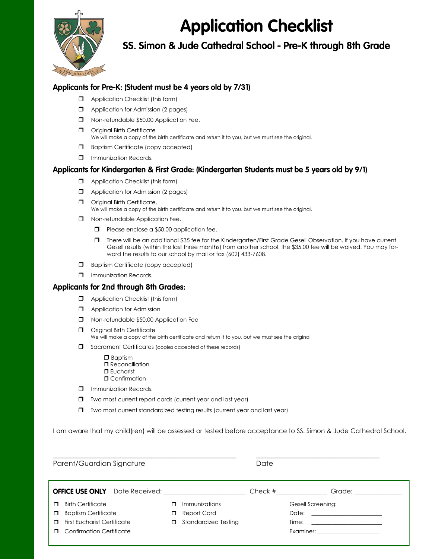## **Application Checklist**



SS. Simon & Jude Cathedral School - Pre-K through 8th Grade

#### Applicants for Pre-K: (Student must be 4 years old by 7/31)

- **Application Checklist (this form)**
- **D** Application for Admission (2 pages)
- $\Box$  Non-refundable \$50.00 Application Fee.
- **O** Original Birth Certificate We will make a copy of the birth certificate and return it to you, but we must see the original.
- **Baptism Certificate (copy accepted)**
- $\Box$  Immunization Records.

#### Applicants for Kindergarten & First Grade: (Kindergarten Students must be 5 years old by 9/1)

- $\Box$  Application Checklist (this form)
- **D** Application for Admission (2 pages)
- **O** Original Birth Certificate. We will make a copy of the birth certificate and return it to you, but we must see the original.
- $\Box$  Non-refundable Application Fee.
	- **Please enclose a \$50.00 application fee.**
	- There will be an additional \$35 fee for the Kindergarten/First Grade Gesell Observation. If you have current Gesell results (within the last three months) from another school, the \$35.00 fee will be waived. You may forward the results to our school by mail or fax (602) 433-7608.
- Baptism Certificate (copy accepted)
- $\Box$  Immunization Records.

#### **Applicants for 2nd through 8th Grades:**

- **I** Application Checklist (this form)
- **D** Application for Admission
- Non-refundable \$50.00 Application Fee
- **D** Original Birth Certificate We will make a copy of the birth certificate and return it to you, but we must see the original
- Sacrament Certificates (copies accepted of these records)
	- **D** Baptism **D** Reconciliation  $\P$ Eucharist
	- **O** Confirmation
- $\Box$  Immunization Records.
- Two most current report cards (current year and last year)
- Two most current standardized testing results (current year and last year)

I am aware that my child(ren) will be assessed or tested before acceptance to SS. Simon & Jude Cathedral School.

| Parent/Guardian Signature                                                                                                                                                     |                                                                          | Date       |                                                          |
|-------------------------------------------------------------------------------------------------------------------------------------------------------------------------------|--------------------------------------------------------------------------|------------|----------------------------------------------------------|
| <b>OFFICE USE ONLY</b> Date Received:<br><b>Birth Certificate</b><br><b>Baptism Certificate</b><br>α.<br><b>First Eucharist Certificate</b><br>Π.<br>Confirmation Certificate | Immunizations<br>Report Card<br>$\Box$<br>Standardized Testing<br>$\Box$ | $Check \#$ | Gesell Screening:<br>Examiner: _________________________ |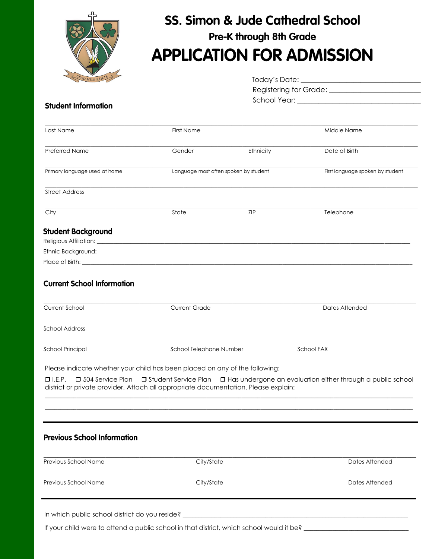

### **SS. Simon & Jude Cathedral School** Pre-K through 8th Grade **APPLICATION FOR ADMISSION**

| Today's Date:                 |  |
|-------------------------------|--|
| <b>Registering for Grade:</b> |  |
| School Year:                  |  |

#### **Student Information**

| Last Name                     | <b>First Name</b> |                                       | Middle Name                      |
|-------------------------------|-------------------|---------------------------------------|----------------------------------|
| Preferred Name                | Gender            | Ethnicity                             | Date of Birth                    |
|                               |                   |                                       |                                  |
| Primary language used at home |                   | Language most often spoken by student | First language spoken by student |
| <b>Street Address</b>         |                   |                                       |                                  |
| City                          | State             | <b>ZIP</b>                            | Telephone                        |
| <b>Student Background</b>     |                   |                                       |                                  |
|                               |                   |                                       |                                  |
|                               |                   |                                       |                                  |
|                               |                   |                                       |                                  |

#### **Current School Information**

| Current School          | <b>Current Grade</b>    | Dates Attended |  |
|-------------------------|-------------------------|----------------|--|
| <b>School Address</b>   |                         |                |  |
| <b>School Principal</b> | School Telephone Number | School FAX     |  |

Please indicate whether your child has been placed on any of the following:

□ I.E.P. □ 504 Service Plan □ Student Service Plan □ Has undergone an evaluation either through a public school district or private provider. Attach all appropriate documentation. Please explain:

#### **Previous School Information**

| <b>Previous School Name</b>                    | City/State | Dates Attended |
|------------------------------------------------|------------|----------------|
| <b>Previous School Name</b>                    | City/State | Dates Attended |
| In which public school district do you reside? |            |                |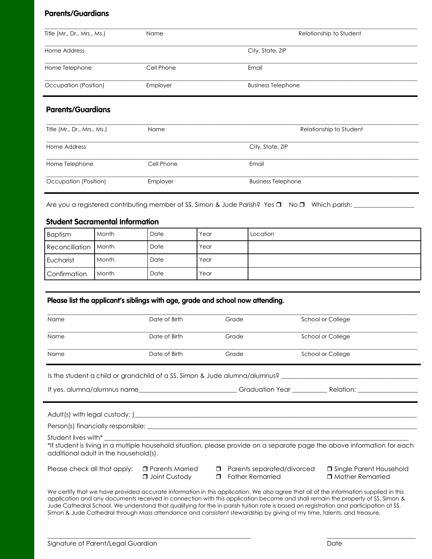#### **Parents/Guardians**

| Title (Mr., Dr., Mrs., Ms.) | <b>Name</b> | Relationship to Student   |
|-----------------------------|-------------|---------------------------|
| Home Address                |             | City, State, ZIP          |
| Home Telephone              | Cell Phone  | Email                     |
| Occupation (Position)       | Employer    | <b>Business Telephone</b> |

#### **Parents/Guardians**

| Title (Mr., Dr., Mrs., Ms.) | Name       | Relationship to Student   |
|-----------------------------|------------|---------------------------|
| Home Address                |            | City, State, ZIP          |
| Home Telephone              | Cell Phone | Email                     |
| Occupation (Position)       | Employer   | <b>Business Telephone</b> |

Are you a registered contributing member of SS. Simon & Jude Parish? Yes No Which parish: \_\_\_\_\_\_\_\_\_\_\_\_\_\_\_\_\_\_\_

#### **Student Sacramental Information**

| <b>Baptism</b>       | Month | Date | Year | Location |
|----------------------|-------|------|------|----------|
| Reconciliation Month |       | Date | Year |          |
| Eucharist            | Month | Date | Year |          |
| Confirmation         | Month | Date | Year |          |

#### Please list the applicant's siblings with age, grade and school now attending.

| Name                                                                                                                                                     | Date of Birth                             |                  | Grade                                                 | School or College                                                                                                                                                                                                                                                                                                                                                                                                |
|----------------------------------------------------------------------------------------------------------------------------------------------------------|-------------------------------------------|------------------|-------------------------------------------------------|------------------------------------------------------------------------------------------------------------------------------------------------------------------------------------------------------------------------------------------------------------------------------------------------------------------------------------------------------------------------------------------------------------------|
| Name                                                                                                                                                     | Date of Birth                             |                  | Grade                                                 | School or College                                                                                                                                                                                                                                                                                                                                                                                                |
| Name                                                                                                                                                     | Date of Birth                             |                  | Grade                                                 | School or College                                                                                                                                                                                                                                                                                                                                                                                                |
| Is the student a child or grandchild of a SS. Simon & Jude alumna/alumnus? ___________________________________                                           |                                           |                  |                                                       |                                                                                                                                                                                                                                                                                                                                                                                                                  |
|                                                                                                                                                          |                                           |                  |                                                       | If yes, alumna/alumnus name__________________________Graduation Year ___________Relation: __________                                                                                                                                                                                                                                                                                                             |
|                                                                                                                                                          |                                           |                  |                                                       |                                                                                                                                                                                                                                                                                                                                                                                                                  |
|                                                                                                                                                          |                                           |                  |                                                       |                                                                                                                                                                                                                                                                                                                                                                                                                  |
| Student lives with* The control of the state of the state of the state of the state of the state of the state o<br>additional adult in the household(s). |                                           |                  |                                                       | *If student is living in a multiple household situation, please provide on a separate page the above information for each                                                                                                                                                                                                                                                                                        |
| Please check all that apply:                                                                                                                             | $\Box$ Parents Married<br>□ Joint Custody | $\Box$<br>$\Box$ | Parents separated/divorced<br><b>Father Remarried</b> | □ Single Parent Household<br>□ Mother Remarried                                                                                                                                                                                                                                                                                                                                                                  |
| Simon & Jude Cathedral through Mass attendance and consistent stewardship by giving of my time, talents, and treasure.                                   |                                           |                  |                                                       | We certify that we have provided accurate information in this application. We also agree that all of the information supplied in this<br>application and any documents received in connection with this application become and shall remain the property of SS. Simon &<br>Jude Cathedral School. We understand that qualifying for the in-parish tuition rate is based on registration and participation at SS. |

 $\_$  ,  $\_$  ,  $\_$  ,  $\_$  ,  $\_$  ,  $\_$  ,  $\_$  ,  $\_$  ,  $\_$  ,  $\_$  ,  $\_$  ,  $\_$  ,  $\_$  ,  $\_$  ,  $\_$  ,  $\_$  ,  $\_$  ,  $\_$  ,  $\_$  ,  $\_$  ,  $\_$  ,  $\_$  ,  $\_$  ,  $\_$  ,  $\_$  ,  $\_$  ,  $\_$  ,  $\_$  ,  $\_$  ,  $\_$  ,  $\_$  ,  $\_$  ,  $\_$  ,  $\_$  ,  $\_$  ,  $\_$  ,  $\_$  ,